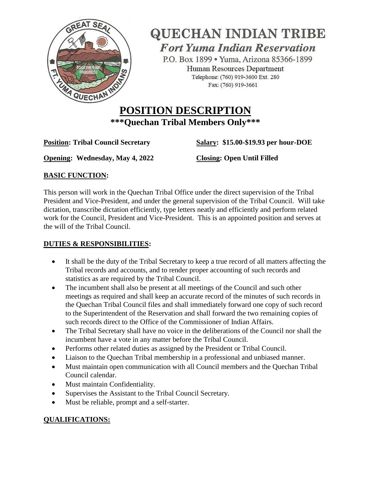

**QUECHAN INDIAN TRIBE Fort Yuma Indian Reservation** 

P.O. Box 1899 · Yuma, Arizona 85366-1899 Human Resources Department Telephone: (760) 919-3600 Ext. 280 Fax: (760) 919-3661

# **POSITION DESCRIPTION \*\*\*Quechan Tribal Members Only\*\*\***

**Position: Tribal Council Secretary Salary:** \$15.00-\$19.93 per hour-DOE

**Opening: Wednesday, May 4, 2022 Closing: Open Until Filled**

### **BASIC FUNCTION:**

This person will work in the Quechan Tribal Office under the direct supervision of the Tribal President and Vice-President, and under the general supervision of the Tribal Council. Will take dictation, transcribe dictation efficiently, type letters neatly and efficiently and perform related work for the Council, President and Vice-President. This is an appointed position and serves at the will of the Tribal Council.

### **DUTIES & RESPONSIBILITIES:**

- It shall be the duty of the Tribal Secretary to keep a true record of all matters affecting the Tribal records and accounts, and to render proper accounting of such records and statistics as are required by the Tribal Council.
- The incumbent shall also be present at all meetings of the Council and such other meetings as required and shall keep an accurate record of the minutes of such records in the Quechan Tribal Council files and shall immediately forward one copy of such record to the Superintendent of the Reservation and shall forward the two remaining copies of such records direct to the Office of the Commissioner of Indian Affairs.
- The Tribal Secretary shall have no voice in the deliberations of the Council nor shall the incumbent have a vote in any matter before the Tribal Council.
- Performs other related duties as assigned by the President or Tribal Council.
- Liaison to the Quechan Tribal membership in a professional and unbiased manner.
- Must maintain open communication with all Council members and the Quechan Tribal Council calendar.
- Must maintain Confidentiality.
- Supervises the Assistant to the Tribal Council Secretary.
- Must be reliable, prompt and a self-starter.

## **QUALIFICATIONS:**